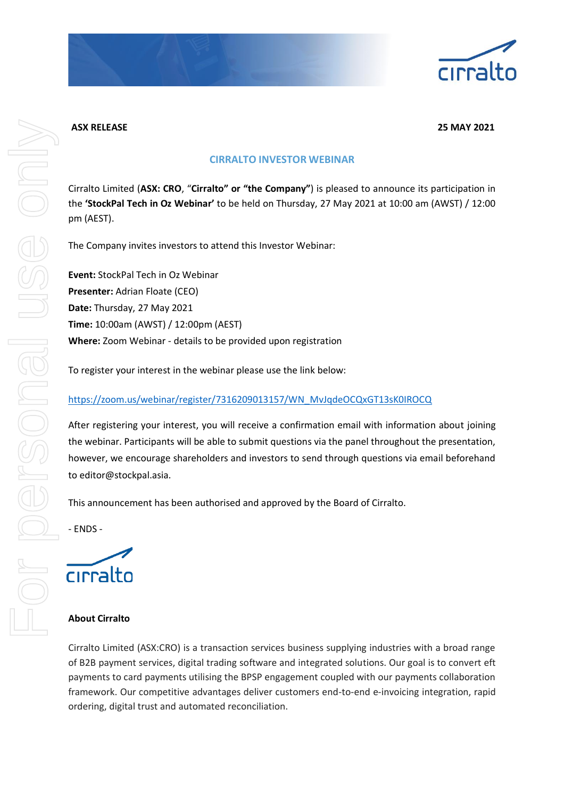

**ASX RELEASE 25 MAY 2021**

# **CIRRALTO INVESTOR WEBINAR**

Cirralto Limited (**ASX: CRO**, "**Cirralto" or "the Company"**) is pleased to announce its participation in the **'StockPal Tech in Oz Webinar'** to be held on Thursday, 27 May 2021 at 10:00 am (AWST) / 12:00 pm (AEST).

The Company invites investors to attend this Investor Webinar:

**Event:** StockPal Tech in Oz Webinar **Presenter:** Adrian Floate (CEO) **Date:** Thursday, 27 May 2021 **Time:** 10:00am (AWST) / 12:00pm (AEST) **Where:** Zoom Webinar - details to be provided upon registration

To register your interest in the webinar please use the link below:

## [https://zoom.us/webinar/register/7316209013157/WN\\_MvJqdeOCQxGT13sK0IROCQ](https://zoom.us/webinar/register/7316209013157/WN_MvJqdeOCQxGT13sK0IROCQ)

After registering your interest, you will receive a confirmation email with information about joining the webinar. Participants will be able to submit questions via the panel throughout the presentation, however, we encourage shareholders and investors to send through questions via email beforehand to editor@stockpal.asia.

This announcement has been authorised and approved by the Board of Cirralto.

- ENDS -

cirralto

## **About Cirralto**

Cirralto Limited (ASX:CRO) is a transaction services business supplying industries with a broad range of B2B payment services, digital trading software and integrated solutions. Our goal is to convert eft payments to card payments utilising the BPSP engagement coupled with our payments collaboration framework. Our competitive advantages deliver customers end-to-end e-invoicing integration, rapid ordering, digital trust and automated reconciliation.